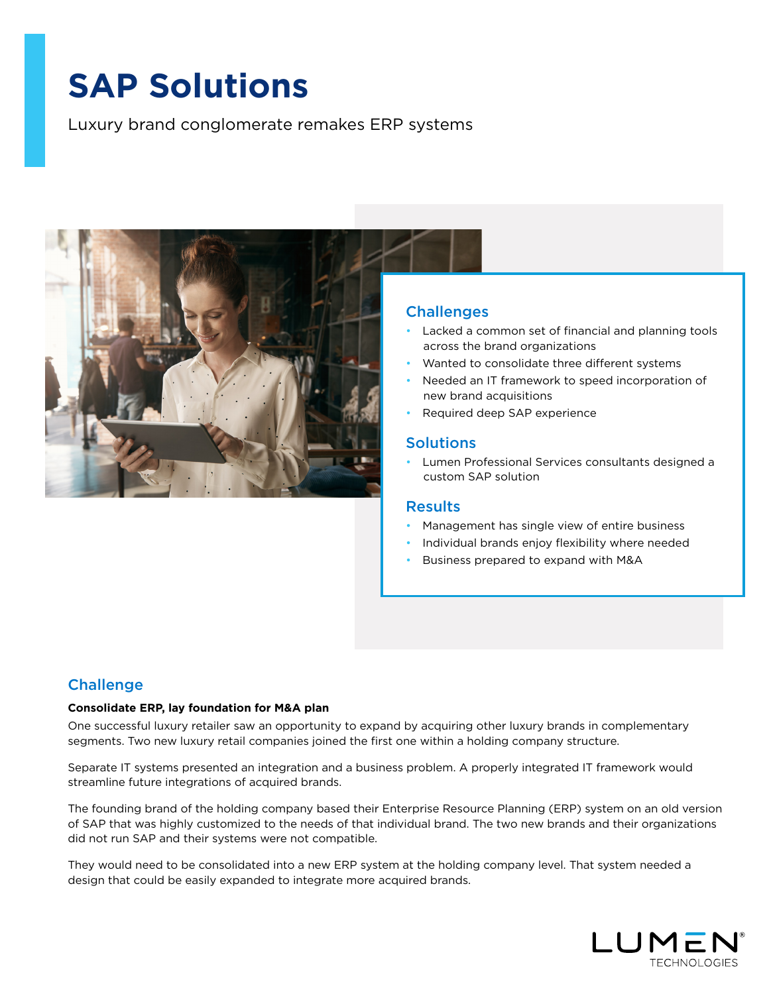# **SAP Solutions**

Luxury brand conglomerate remakes ERP systems



## **Challenges**

- Lacked a common set of financial and planning tools across the brand organizations
- Wanted to consolidate three different systems
- Needed an IT framework to speed incorporation of new brand acquisitions
- Required deep SAP experience

## **Solutions**

• Lumen Professional Services consultants designed a custom SAP solution

## **Results**

- Management has single view of entire business
- Individual brands enjoy flexibility where needed
- Business prepared to expand with M&A

## **Challenge**

#### **Consolidate ERP, lay foundation for M&A plan**

One successful luxury retailer saw an opportunity to expand by acquiring other luxury brands in complementary segments. Two new luxury retail companies joined the first one within a holding company structure.

Separate IT systems presented an integration and a business problem. A properly integrated IT framework would streamline future integrations of acquired brands.

The founding brand of the holding company based their Enterprise Resource Planning (ERP) system on an old version of SAP that was highly customized to the needs of that individual brand. The two new brands and their organizations did not run SAP and their systems were not compatible.

They would need to be consolidated into a new ERP system at the holding company level. That system needed a design that could be easily expanded to integrate more acquired brands.